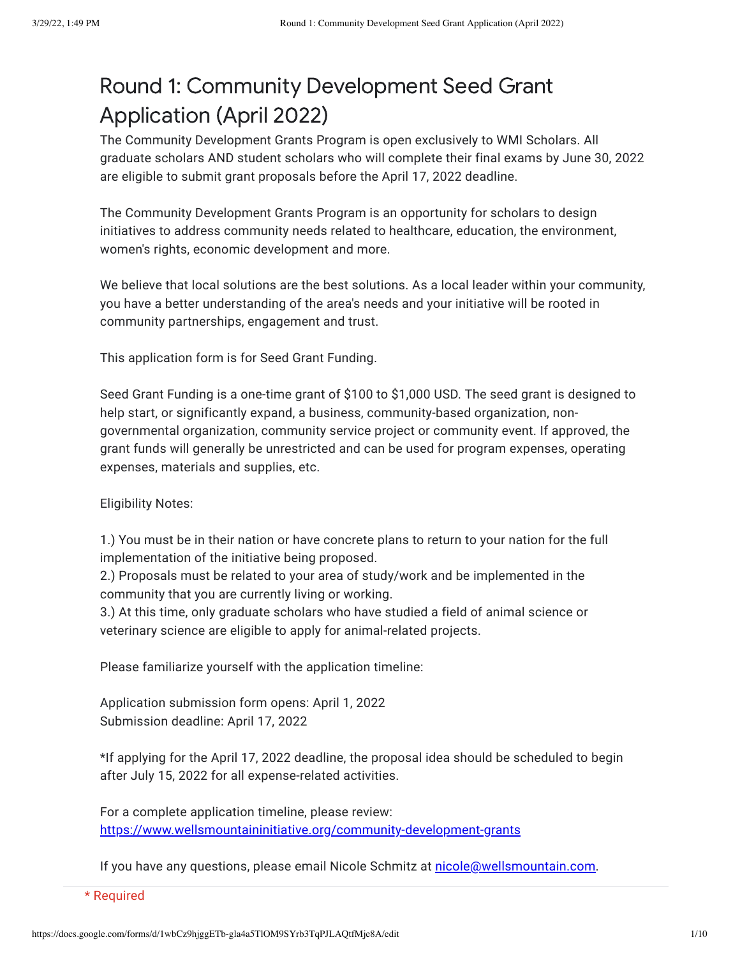## Round 1: Community Development Seed Grant Application (April 2022)

The Community Development Grants Program is open exclusively to WMI Scholars. All graduate scholars AND student scholars who will complete their final exams by June 30, 2022 are eligible to submit grant proposals before the April 17, 2022 deadline.

The Community Development Grants Program is an opportunity for scholars to design initiatives to address community needs related to healthcare, education, the environment, women's rights, economic development and more.

We believe that local solutions are the best solutions. As a local leader within your community, you have a better understanding of the area's needs and your initiative will be rooted in community partnerships, engagement and trust.

This application form is for Seed Grant Funding.

Seed Grant Funding is a one-time grant of \$100 to \$1,000 USD. The seed grant is designed to help start, or significantly expand, a business, community-based organization, nongovernmental organization, community service project or community event. If approved, the grant funds will generally be unrestricted and can be used for program expenses, operating expenses, materials and supplies, etc.

Eligibility Notes:

1.) You must be in their nation or have concrete plans to return to your nation for the full implementation of the initiative being proposed.

2.) Proposals must be related to your area of study/work and be implemented in the community that you are currently living or working.

3.) At this time, only graduate scholars who have studied a field of animal science or veterinary science are eligible to apply for animal-related projects.

Please familiarize yourself with the application timeline:

Application submission form opens: April 1, 2022 Submission deadline: April 17, 2022

\*If applying for the April 17, 2022 deadline, the proposal idea should be scheduled to begin after July 15, 2022 for all expense-related activities.

For a complete application timeline, please review: [https://www.wellsmountaininitiative.org/community-development-grants](https://www.google.com/url?q=https://www.wellsmountaininitiative.org/community-development-grants&sa=D&source=editors&ust=1648579753925207&usg=AOvVaw0GEpOs7M0KpbJ041iZMLv4)

If you have any questions, please email Nicole Schmitz at [nicole@wellsmountain.com](mailto:nicole@wellsmountain.com).

\* Required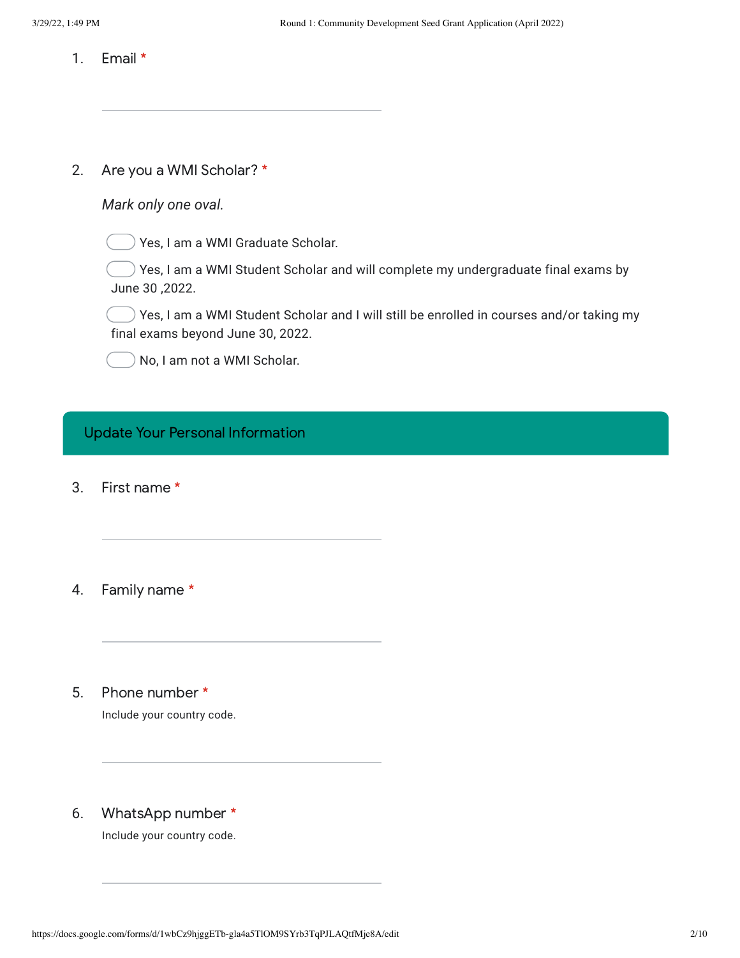- 1. Email \*
- 2. Are you a WMI Scholar? \*

| Mark only one oval. |  |  |  |
|---------------------|--|--|--|
|---------------------|--|--|--|

 $)$  Yes, I am a WMI Graduate Scholar.

 $\longrightarrow$  Yes, I am a WMI Student Scholar and will complete my undergraduate final exams by June 30 ,2022.

 $)$  Yes, I am a WMI Student Scholar and I will still be enrolled in courses and/or taking my final exams beyond June 30, 2022.

No, I am not a WMI Scholar.

## Update Your Personal Information

- 3. First name \*
- 4. Family name \*
- 5. Phone number \*

Include your country code.

6. WhatsApp number \*

Include your country code.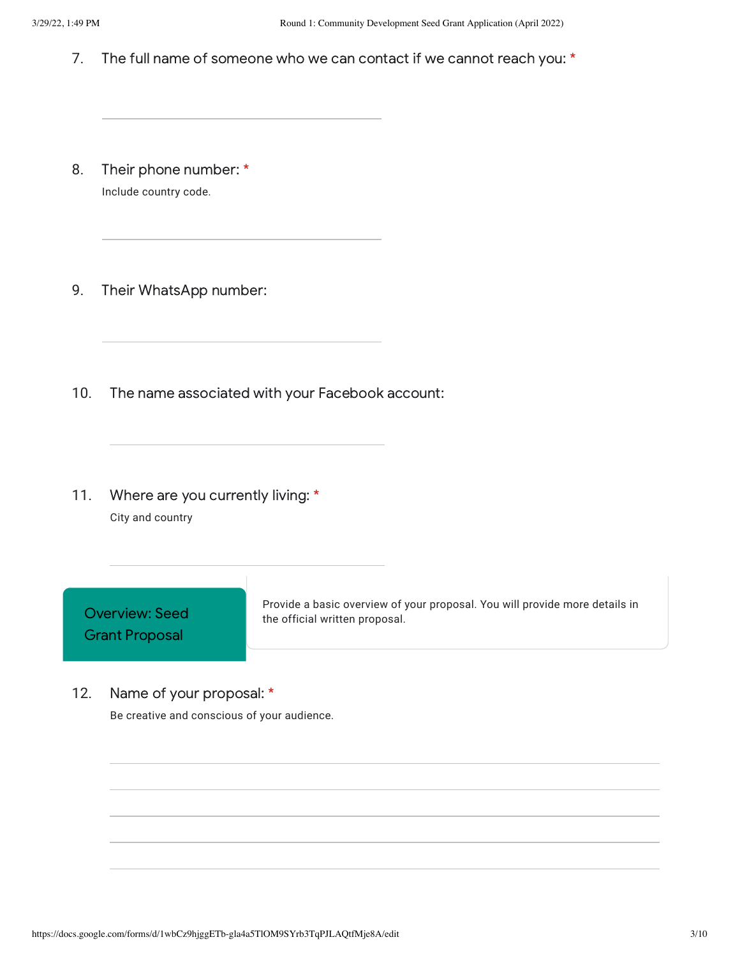- 7. The full name of someone who we can contact if we cannot reach you: \*
- 8. Their phone number: \* Include country code.
- 9. Their WhatsApp number:
- 10. The name associated with your Facebook account:
- 11. Where are you currently living: \* City and country

Overview: Seed Grant Proposal

Provide a basic overview of your proposal. You will provide more details in the official written proposal.

12. Name of your proposal: \* Be creative and conscious of your audience.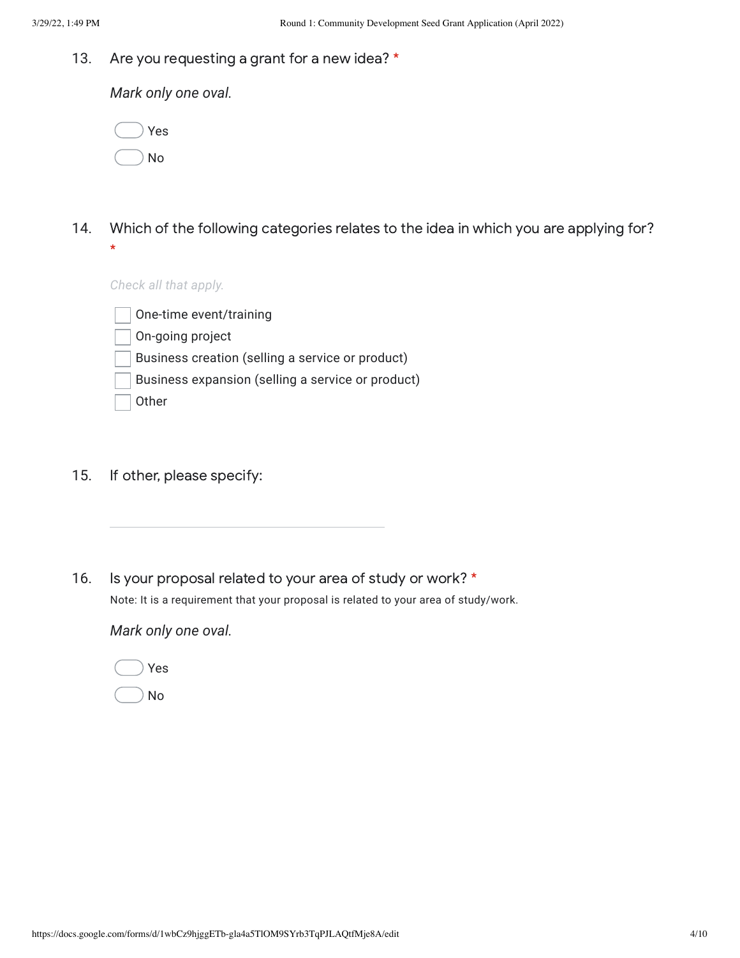13. Are you requesting a grant for a new idea? \*

*Mark only one oval.*

|  | Yes |
|--|-----|
|  | No  |

14. Which of the following categories relates to the idea in which you are applying for? \*

## *Check all that apply.*

One-time event/training On-going project Business creation (selling a service or product) Business expansion (selling a service or product) **Other** 

- 15. If other, please specify:
- 16. Is your proposal related to your area of study or work? \* Note: It is a requirement that your proposal is related to your area of study/work.

*Mark only one oval.*

No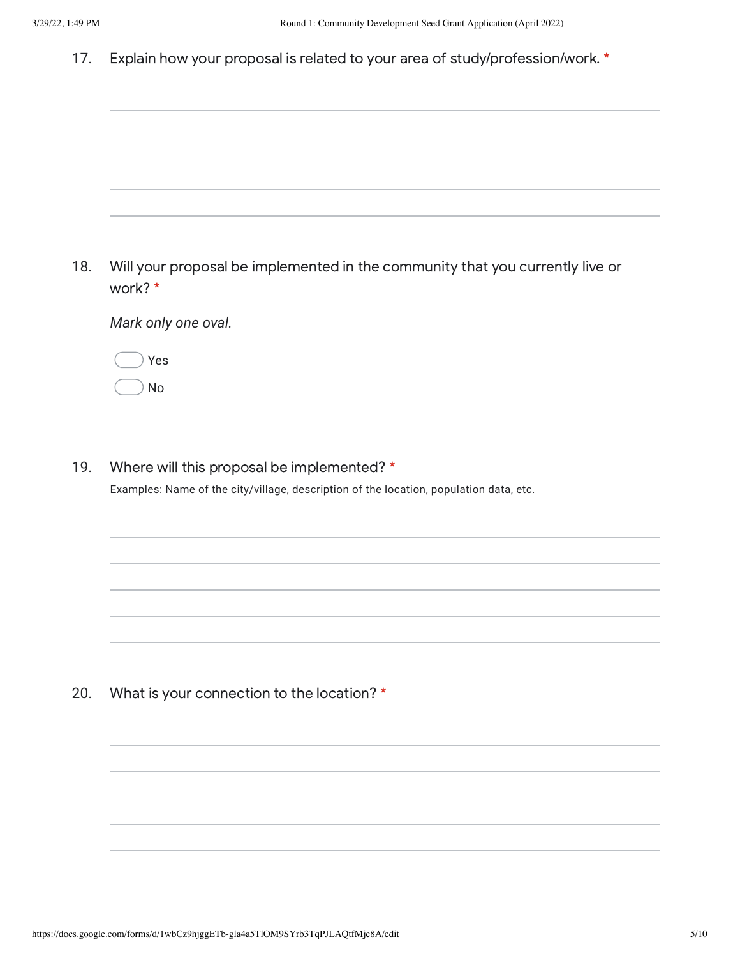17. Explain how your proposal is related to your area of study/profession/work. \*

| 18. | Will your proposal be implemented in the community that you currently live or<br>work? * |
|-----|------------------------------------------------------------------------------------------|
|     | Mark only one oval.                                                                      |
|     | Yes                                                                                      |
|     | No                                                                                       |

19. Where will this proposal be implemented? \*

Examples: Name of the city/village, description of the location, population data, etc.

20. What is your connection to the location? \*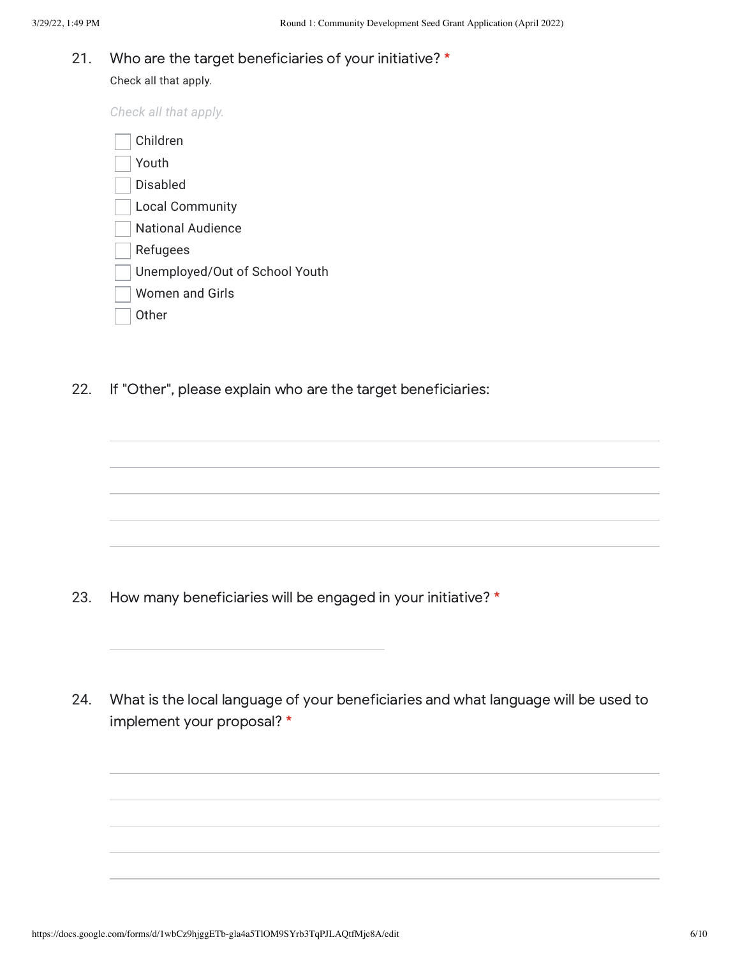## 21. Who are the target beneficiaries of your initiative? \*

Check all that apply.

*Check all that apply.*

| Children                       |
|--------------------------------|
| Youth                          |
| Disabled                       |
| <b>Local Community</b>         |
| National Audience              |
| Refugees                       |
| Unemployed/Out of School Youth |
| Women and Girls                |
| 0ther                          |

22. If "Other", please explain who are the target beneficiaries:

- 23. How many beneficiaries will be engaged in your initiative? \*
- 24. What is the local language of your beneficiaries and what language will be used to implement your proposal? \*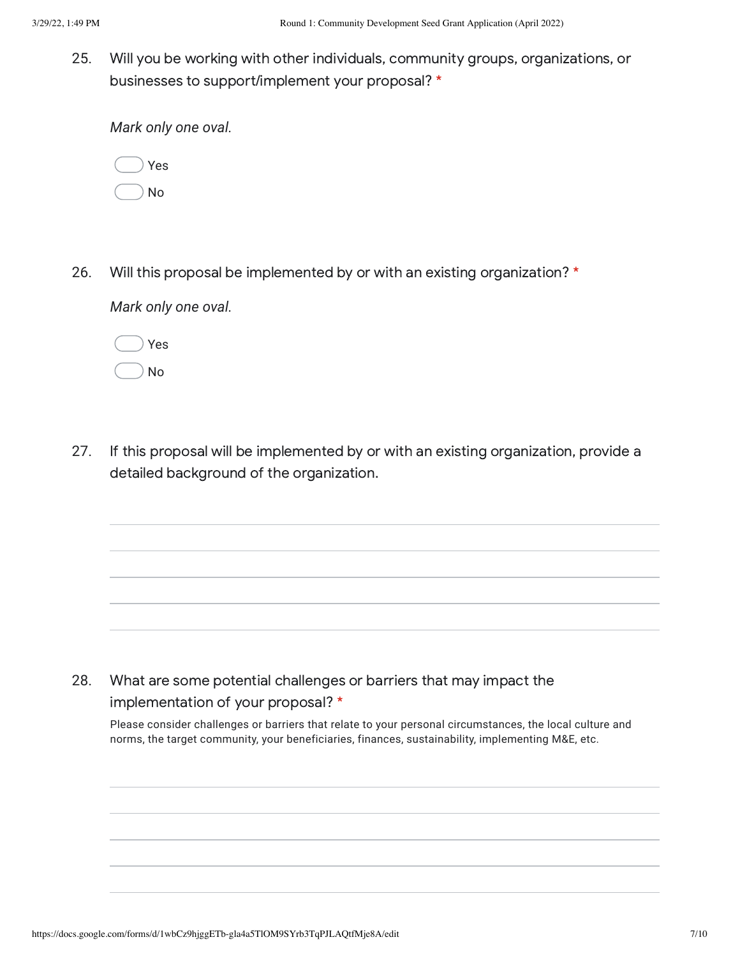25. Will you be working with other individuals, community groups, organizations, or businesses to support/implement your proposal? \*

*Mark only one oval.*



26. Will this proposal be implemented by or with an existing organization? \*

*Mark only one oval.*



27. If this proposal will be implemented by or with an existing organization, provide a detailed background of the organization.

28. What are some potential challenges or barriers that may impact the implementation of your proposal? \*

Please consider challenges or barriers that relate to your personal circumstances, the local culture and norms, the target community, your beneficiaries, finances, sustainability, implementing M&E, etc.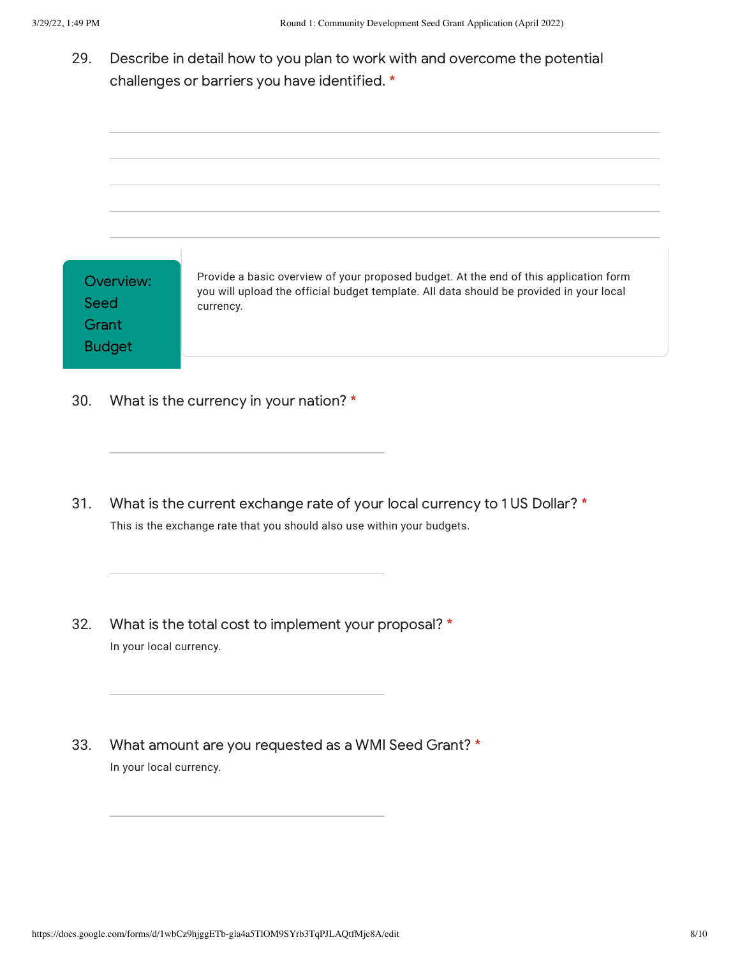29. Describe in detail how to you plan to work with and overcome the potential challenges or barriers you have identified. \*

| Overview:<br>Seed<br>Grant<br><b>Budget</b> | Provide a basic overview of your proposed budget. At the end of this application form<br>you will upload the official budget template. All data should be provided in your local<br>currency. |
|---------------------------------------------|-----------------------------------------------------------------------------------------------------------------------------------------------------------------------------------------------|

- 30. What is the currency in your nation? \*
- 31. What is the current exchange rate of your local currency to 1 US Dollar? \* This is the exchange rate that you should also use within your budgets.
- 32. What is the total cost to implement your proposal? \* In your local currency.
- 33. What amount are you requested as a WMI Seed Grant? \* In your local currency.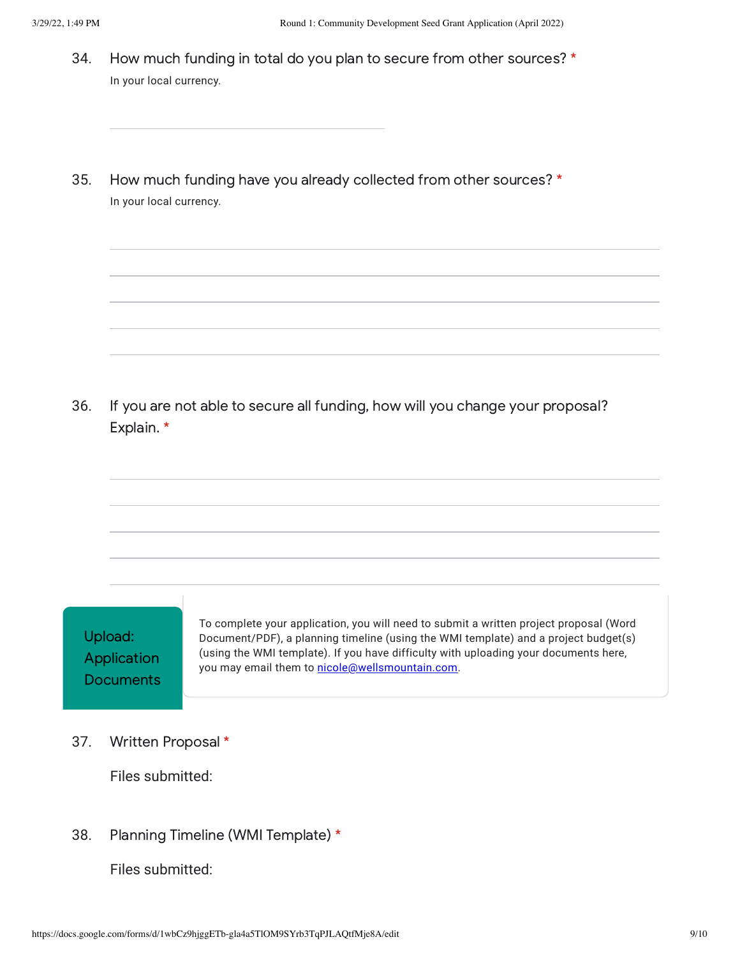- 34. How much funding in total do you plan to secure from other sources? \* In your local currency.
- 35. How much funding have you already collected from other sources? \* In your local currency.

36. If you are not able to secure all funding, how will you change your proposal? Explain. \*

Upload: Application **Documents** 

To complete your application, you will need to submit a written project proposal (Word Document/PDF), a planning timeline (using the WMI template) and a project budget(s) (using the WMI template). If you have difficulty with uploading your documents here, you may email them to [nicole@wellsmountain.com.](mailto:nicole@wellsmountain.com)

37. Written Proposal \*

Files submitted:

38. Planning Timeline (WMI Template) \*

Files submitted: